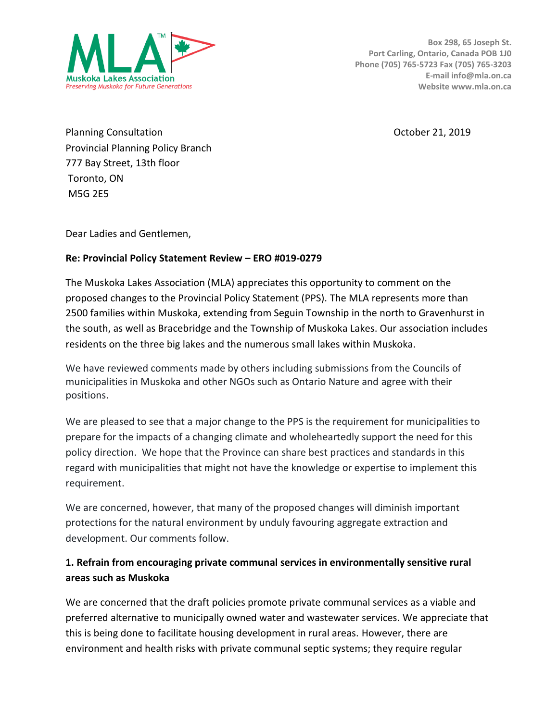

Planning Consultation **Planning Consultation** Consultation **Consultation** Consultation **October 21, 2019** Provincial Planning Policy Branch 777 Bay Street, 13th floor Toronto, ON M5G 2E5

Dear Ladies and Gentlemen,

#### **Re: Provincial Policy Statement Review – ERO #019-0279**

The Muskoka Lakes Association (MLA) appreciates this opportunity to comment on the proposed changes to the Provincial Policy Statement (PPS). The MLA represents more than 2500 families within Muskoka, extending from Seguin Township in the north to Gravenhurst in the south, as well as Bracebridge and the Township of Muskoka Lakes. Our association includes residents on the three big lakes and the numerous small lakes within Muskoka.

We have reviewed comments made by others including submissions from the Councils of municipalities in Muskoka and other NGOs such as Ontario Nature and agree with their positions.

We are pleased to see that a major change to the PPS is the requirement for municipalities to prepare for the impacts of a changing climate and wholeheartedly support the need for this policy direction. We hope that the Province can share best practices and standards in this regard with municipalities that might not have the knowledge or expertise to implement this requirement.

We are concerned, however, that many of the proposed changes will diminish important protections for the natural environment by unduly favouring aggregate extraction and development. Our comments follow.

### **1. Refrain from encouraging private communal services in environmentally sensitive rural areas such as Muskoka**

We are concerned that the draft policies promote private communal services as a viable and preferred alternative to municipally owned water and wastewater services. We appreciate that this is being done to facilitate housing development in rural areas. However, there are environment and health risks with private communal septic systems; they require regular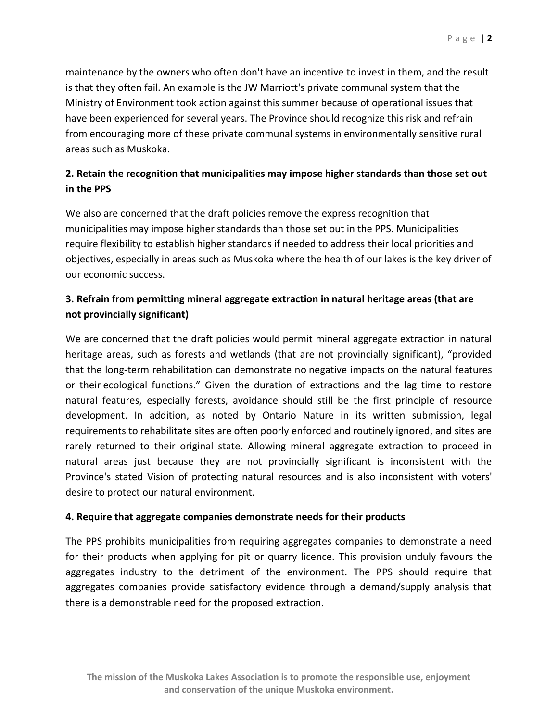maintenance by the owners who often don't have an incentive to invest in them, and the result is that they often fail. An example is the JW Marriott's private communal system that the Ministry of Environment took action against this summer because of operational issues that have been experienced for several years. The Province should recognize this risk and refrain from encouraging more of these private communal systems in environmentally sensitive rural areas such as Muskoka.

# **2. Retain the recognition that municipalities may impose higher standards than those set out in the PPS**

We also are concerned that the draft policies remove the express recognition that municipalities may impose higher standards than those set out in the PPS. Municipalities require flexibility to establish higher standards if needed to address their local priorities and objectives, especially in areas such as Muskoka where the health of our lakes is the key driver of our economic success.

# **3. Refrain from permitting mineral aggregate extraction in natural heritage areas (that are not provincially significant)**

We are concerned that the draft policies would permit mineral aggregate extraction in natural heritage areas, such as forests and wetlands (that are not provincially significant), "provided that the long-term rehabilitation can demonstrate no negative impacts on the natural features or their ecological functions." Given the duration of extractions and the lag time to restore natural features, especially forests, avoidance should still be the first principle of resource development. In addition, as noted by Ontario Nature in its written submission, legal requirements to rehabilitate sites are often poorly enforced and routinely ignored, and sites are rarely returned to their original state. Allowing mineral aggregate extraction to proceed in natural areas just because they are not provincially significant is inconsistent with the Province's stated Vision of protecting natural resources and is also inconsistent with voters' desire to protect our natural environment.

#### **4. Require that aggregate companies demonstrate needs for their products**

The PPS prohibits municipalities from requiring aggregates companies to demonstrate a need for their products when applying for pit or quarry licence. This provision unduly favours the aggregates industry to the detriment of the environment. The PPS should require that aggregates companies provide satisfactory evidence through a demand/supply analysis that there is a demonstrable need for the proposed extraction.